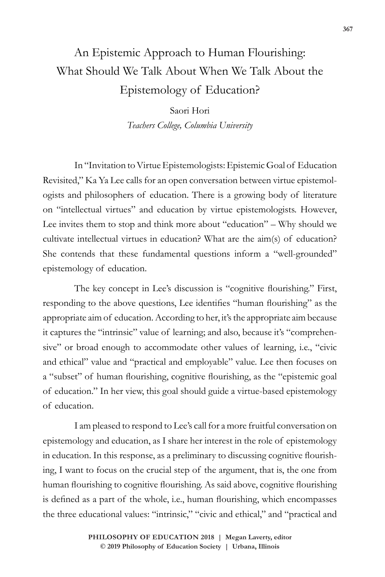## An Epistemic Approach to Human Flourishing: What Should We Talk About When We Talk About the Epistemology of Education?

Saori Hori *Teachers College, Columbia University*

In "Invitation to Virtue Epistemologists: Epistemic Goal of Education Revisited," Ka Ya Lee calls for an open conversation between virtue epistemologists and philosophers of education. There is a growing body of literature on "intellectual virtues" and education by virtue epistemologists. However, Lee invites them to stop and think more about "education" – Why should we cultivate intellectual virtues in education? What are the aim(s) of education? She contends that these fundamental questions inform a "well-grounded" epistemology of education.

The key concept in Lee's discussion is "cognitive flourishing." First, responding to the above questions, Lee identifies "human flourishing" as the appropriate aim of education. According to her, it's the appropriate aim because it captures the "intrinsic" value of learning; and also, because it's "comprehensive" or broad enough to accommodate other values of learning, i.e., "civic and ethical" value and "practical and employable" value. Lee then focuses on a "subset" of human flourishing, cognitive flourishing, as the "epistemic goal of education." In her view, this goal should guide a virtue-based epistemology of education.

I am pleased to respond to Lee's call for a more fruitful conversation on epistemology and education, as I share her interest in the role of epistemology in education. In this response, as a preliminary to discussing cognitive flourishing, I want to focus on the crucial step of the argument, that is, the one from human flourishing to cognitive flourishing. As said above, cognitive flourishing is defined as a part of the whole, i.e., human flourishing, which encompasses the three educational values: "intrinsic," "civic and ethical," and "practical and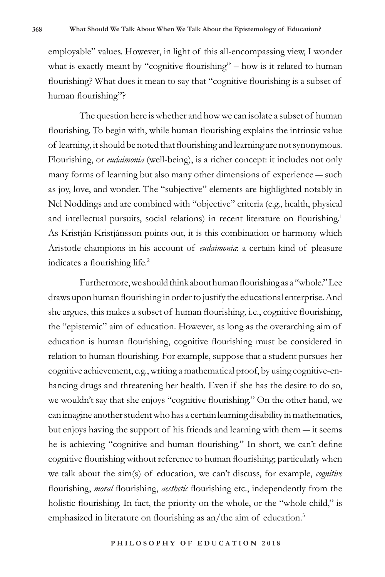employable" values. However, in light of this all-encompassing view, I wonder what is exactly meant by "cognitive flourishing" – how is it related to human flourishing? What does it mean to say that "cognitive flourishing is a subset of human flourishing"?

The question here is whether and how we can isolate a subset of human flourishing. To begin with, while human flourishing explains the intrinsic value of learning, it should be noted that flourishing and learning are not synonymous. Flourishing, or *eudaimonia* (well-being), is a richer concept: it includes not only many forms of learning but also many other dimensions of experience ― such as joy, love, and wonder. The "subjective" elements are highlighted notably in Nel Noddings and are combined with "objective" criteria (e.g., health, physical and intellectual pursuits, social relations) in recent literature on flourishing.<sup>1</sup> As Kristján Kristjánsson points out, it is this combination or harmony which Aristotle champions in his account of *eudaimonia*: a certain kind of pleasure indicates a flourishing life.<sup>2</sup>

Furthermore, we should think about human flourishing as a "whole." Lee draws upon human flourishing in order to justify the educational enterprise. And she argues, this makes a subset of human flourishing, i.e., cognitive flourishing, the "epistemic" aim of education. However, as long as the overarching aim of education is human flourishing, cognitive flourishing must be considered in relation to human flourishing. For example, suppose that a student pursues her cognitive achievement, e.g., writing a mathematical proof, by using cognitive-enhancing drugs and threatening her health. Even if she has the desire to do so, we wouldn't say that she enjoys "cognitive flourishing." On the other hand, we can imagine another student who has a certain learning disability in mathematics, but enjoys having the support of his friends and learning with them ― it seems he is achieving "cognitive and human flourishing." In short, we can't define cognitive flourishing without reference to human flourishing; particularly when we talk about the aim(s) of education, we can't discuss, for example, *cognitive* flourishing, *moral* flourishing, *aesthetic* flourishing etc., independently from the holistic flourishing. In fact, the priority on the whole, or the "whole child," is emphasized in literature on flourishing as an/the aim of education.<sup>3</sup>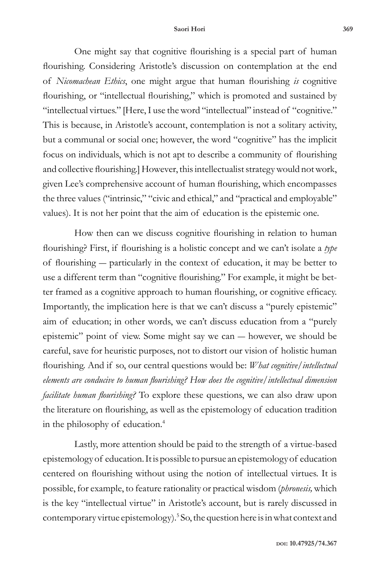One might say that cognitive flourishing is a special part of human flourishing. Considering Aristotle's discussion on contemplation at the end of *Nicomachean Ethics*, one might argue that human flourishing *is* cognitive flourishing, or "intellectual flourishing," which is promoted and sustained by "intellectual virtues." [Here, I use the word "intellectual" instead of "cognitive." This is because, in Aristotle's account, contemplation is not a solitary activity, but a communal or social one; however, the word "cognitive" has the implicit focus on individuals, which is not apt to describe a community of flourishing and collective flourishing.] However, this intellectualist strategy would not work, given Lee's comprehensive account of human flourishing, which encompasses the three values ("intrinsic," "civic and ethical," and "practical and employable" values). It is not her point that the aim of education is the epistemic one.

How then can we discuss cognitive flourishing in relation to human flourishing? First, if flourishing is a holistic concept and we can't isolate a *type* of flourishing ― particularly in the context of education, it may be better to use a different term than "cognitive flourishing." For example, it might be better framed as a cognitive approach to human flourishing, or cognitive efficacy. Importantly, the implication here is that we can't discuss a "purely epistemic" aim of education; in other words, we can't discuss education from a "purely epistemic" point of view. Some might say we can ― however, we should be careful, save for heuristic purposes, not to distort our vision of holistic human flourishing. And if so, our central questions would be: *What cognitive/intellectual elements are conducive to human flourishing? How does the cognitive/intellectual dimension facilitate human flourishing?* To explore these questions, we can also draw upon the literature on flourishing, as well as the epistemology of education tradition in the philosophy of education.4

Lastly, more attention should be paid to the strength of a virtue-based epistemology of education. It is possible to pursue an epistemology of education centered on flourishing without using the notion of intellectual virtues. It is possible, for example, to feature rationality or practical wisdom (*phronesis,* which is the key "intellectual virtue" in Aristotle's account, but is rarely discussed in contemporary virtue epistemology).<sup>5</sup> So, the question here is in what context and